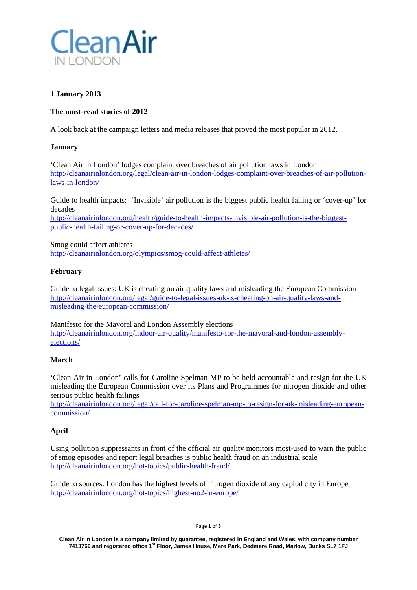

# **1 January 2013**

# **The most-read stories of 2012**

A look back at the campaign letters and media releases that proved the most popular in 2012.

### **January**

'Clean Air in London' lodges complaint over breaches of air pollution laws in London [http://cleanairinlondon.org/legal/clean-air-in-london-lodges-complaint-over-breaches-of-air-pollution](http://cleanairinlondon.org/legal/clean-air-in-london-lodges-complaint-over-breaches-of-air-pollution-laws-in-london/)[laws-in-london/](http://cleanairinlondon.org/legal/clean-air-in-london-lodges-complaint-over-breaches-of-air-pollution-laws-in-london/)

Guide to health impacts: 'Invisible' air pollution is the biggest public health failing or 'cover-up' for decades

[http://cleanairinlondon.org/health/guide-to-health-impacts-invisible-air-pollution-is-the-biggest](http://cleanairinlondon.org/health/guide-to-health-impacts-invisible-air-pollution-is-the-biggest-public-health-failing-or-cover-up-for-decades/)[public-health-failing-or-cover-up-for-decades/](http://cleanairinlondon.org/health/guide-to-health-impacts-invisible-air-pollution-is-the-biggest-public-health-failing-or-cover-up-for-decades/)

Smog could affect athletes <http://cleanairinlondon.org/olympics/smog-could-affect-athletes/>

### **February**

Guide to legal issues: UK is cheating on air quality laws and misleading the European Commission [http://cleanairinlondon.org/legal/guide-to-legal-issues-uk-is-cheating-on-air-quality-laws-and](http://cleanairinlondon.org/legal/guide-to-legal-issues-uk-is-cheating-on-air-quality-laws-and-misleading-the-european-commission/)[misleading-the-european-commission/](http://cleanairinlondon.org/legal/guide-to-legal-issues-uk-is-cheating-on-air-quality-laws-and-misleading-the-european-commission/)

Manifesto for the Mayoral and London Assembly elections [http://cleanairinlondon.org/indoor-air-quality/manifesto-for-the-mayoral-and-london-assembly](http://cleanairinlondon.org/indoor-air-quality/manifesto-for-the-mayoral-and-london-assembly-elections/)[elections/](http://cleanairinlondon.org/indoor-air-quality/manifesto-for-the-mayoral-and-london-assembly-elections/)

# **March**

'Clean Air in London' calls for Caroline Spelman MP to be held accountable and resign for the UK misleading the European Commission over its Plans and Programmes for nitrogen dioxide and other serious public health failings

[http://cleanairinlondon.org/legal/call-for-caroline-spelman-mp-to-resign-for-uk-misleading-european](http://cleanairinlondon.org/legal/call-for-caroline-spelman-mp-to-resign-for-uk-misleading-european-commission/)[commission/](http://cleanairinlondon.org/legal/call-for-caroline-spelman-mp-to-resign-for-uk-misleading-european-commission/)

# **April**

Using pollution suppressants in front of the official air quality monitors most-used to warn the public of smog episodes and report legal breaches is public health fraud on an industrial scale <http://cleanairinlondon.org/hot-topics/public-health-fraud/>

Guide to sources: London has the highest levels of nitrogen dioxide of any capital city in Europe <http://cleanairinlondon.org/hot-topics/highest-no2-in-europe/>

Page **1** of **3**

**Clean Air in London is a company limited by guarantee, registered in England and Wales, with company number 7413769 and registered office 1st Floor, James House, Mere Park, Dedmere Road, Marlow, Bucks SL7 1FJ**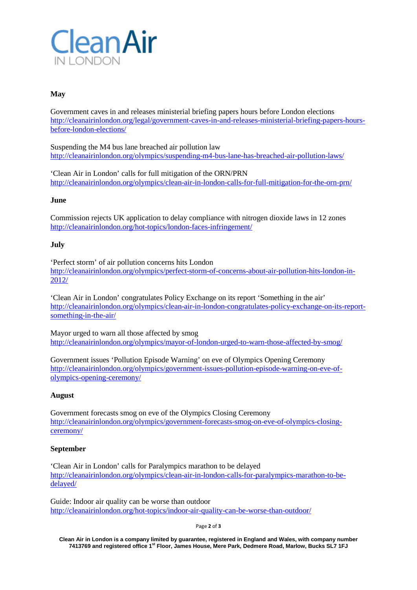

# **May**

Government caves in and releases ministerial briefing papers hours before London elections [http://cleanairinlondon.org/legal/government-caves-in-and-releases-ministerial-briefing-papers-hours](http://cleanairinlondon.org/legal/government-caves-in-and-releases-ministerial-briefing-papers-hours-before-london-elections/)[before-london-elections/](http://cleanairinlondon.org/legal/government-caves-in-and-releases-ministerial-briefing-papers-hours-before-london-elections/)

Suspending the M4 bus lane breached air pollution law <http://cleanairinlondon.org/olympics/suspending-m4-bus-lane-has-breached-air-pollution-laws/>

'Clean Air in London' calls for full mitigation of the ORN/PRN <http://cleanairinlondon.org/olympics/clean-air-in-london-calls-for-full-mitigation-for-the-orn-prn/>

### **June**

Commission rejects UK application to delay compliance with nitrogen dioxide laws in 12 zones <http://cleanairinlondon.org/hot-topics/london-faces-infringement/>

### **July**

'Perfect storm' of air pollution concerns hits London [http://cleanairinlondon.org/olympics/perfect-storm-of-concerns-about-air-pollution-hits-london-in-](http://cleanairinlondon.org/olympics/perfect-storm-of-concerns-about-air-pollution-hits-london-in-2012/)[2012/](http://cleanairinlondon.org/olympics/perfect-storm-of-concerns-about-air-pollution-hits-london-in-2012/)

'Clean Air in London' congratulates Policy Exchange on its report 'Something in the air' [http://cleanairinlondon.org/olympics/clean-air-in-london-congratulates-policy-exchange-on-its-report](http://cleanairinlondon.org/olympics/clean-air-in-london-congratulates-policy-exchange-on-its-report-something-in-the-air/)[something-in-the-air/](http://cleanairinlondon.org/olympics/clean-air-in-london-congratulates-policy-exchange-on-its-report-something-in-the-air/)

Mayor urged to warn all those affected by smog <http://cleanairinlondon.org/olympics/mayor-of-london-urged-to-warn-those-affected-by-smog/>

Government issues 'Pollution Episode Warning' on eve of Olympics Opening Ceremony [http://cleanairinlondon.org/olympics/government-issues-pollution-episode-warning-on-eve-of](http://cleanairinlondon.org/olympics/government-issues-pollution-episode-warning-on-eve-of-olympics-opening-ceremony/)[olympics-opening-ceremony/](http://cleanairinlondon.org/olympics/government-issues-pollution-episode-warning-on-eve-of-olympics-opening-ceremony/)

### **August**

Government forecasts smog on eve of the Olympics Closing Ceremony [http://cleanairinlondon.org/olympics/government-forecasts-smog-on-eve-of-olympics-closing](http://cleanairinlondon.org/olympics/government-forecasts-smog-on-eve-of-olympics-closing-ceremony/)[ceremony/](http://cleanairinlondon.org/olympics/government-forecasts-smog-on-eve-of-olympics-closing-ceremony/)

### **September**

'Clean Air in London' calls for Paralympics marathon to be delayed [http://cleanairinlondon.org/olympics/clean-air-in-london-calls-for-paralympics-marathon-to-be](http://cleanairinlondon.org/olympics/clean-air-in-london-calls-for-paralympics-marathon-to-be-delayed/)[delayed/](http://cleanairinlondon.org/olympics/clean-air-in-london-calls-for-paralympics-marathon-to-be-delayed/)

Guide: Indoor air quality can be worse than outdoor <http://cleanairinlondon.org/hot-topics/indoor-air-quality-can-be-worse-than-outdoor/>

Page **2** of **3**

Clean Air in London is a company limited by guarantee, registered in England and Wales, with company number<br>7413769 and registered office 1<sup>st</sup> Floor, James House, Mere Park, Dedmere Road, Marlow, Bucks SL7 1FJ